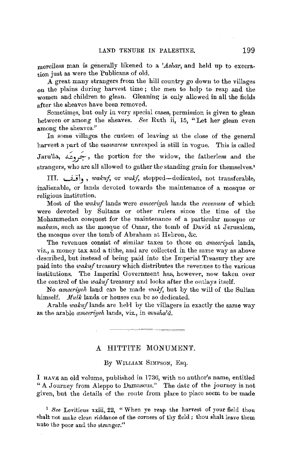merciless man is generally likened to a *'Ashar*, and held up to execration just as were the Publicans of old.

A great many straugers from the hill country go down to the villages on the plains during harvest time ; the men to help to reap and the women and children to glean. Gleaning is only allowed in all the fields after the sheaves have been removed.

Sometimes, but only in very special cases, permission is given to glean between or among the sheaves. *See* Ruth ii, 15, "Let her glean even among the sheaves."

In some villages the custom of leaviug at the close of the general harvest a part of the *mawaress* unreaped is still in vogue. This is called Jaru'aa, *~)J~,* the portion for the widow, the fatherless and the strangers, who are all allowed to gather the standing grain for themselves.'

III. l..,..IW~ , *wakuf,* or *wakf,* stopped-dedicated, not transferable, inalienable, or lands devoted towards the maintenance of a mosque or religious institution.

Most of the *wakuf* lands were *ameeriyeh* lands the *revenues* of which were devoted by Sultans or other rulers since the time of the Mohammedan conquest for the maintenance of a particular mosque or *makam,* such as the mosque of Omar, the tomb of David at Jerusalem, the mosque over the tomb of Abraham at Hebron, &c.

The revenues consist of similar taxes to those on *ameeriyeli* lands, viz., a money tax and a tithe, and are collected in the same way as above described, but instead of being paid into the Imperial Treasury they are paid into the *wakuf* treasury which distributes the revenues to the various institutions. The Imperial Government has, however, now taken over the control of the wakuf treasury and looks after the ontlays itself.

No *ameeriveh* land can be made *wakf*, but by the will of the Sultan himself. *Mulk* lands or houses can be so dedicated.

Arable *wakuf* lands are held by the villagers in exactly the same way as the arable *ameeriyeh* lands, viz., in *musha'd*.

## A HITTITE MONUMEN'f.

By WILLIAM SIMPSON, Esq.

I HAVE an old volume, published in 1736, with no author's name, entitled "A Journey from Aleppo to Damascus." The date of the journey is not given, but the details of the route from place to place seem to be made

<sup>1</sup> See Leviticus xxiii, 22, "When ye reap the harvest of your field thou shalt not make clean riddance of the corners of thy field; thou shalt leave them unto the poor and the stranger."